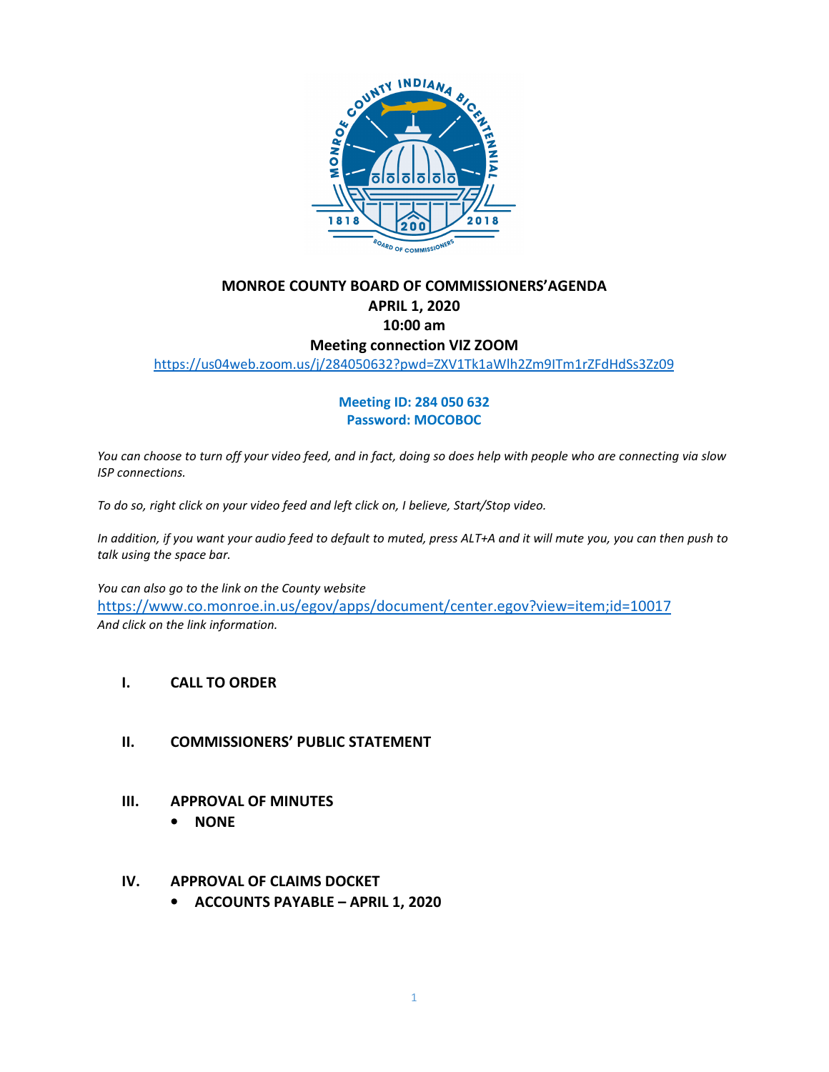

## **MONROE COUNTY BOARD OF COMMISSIONERS'AGENDA APRIL 1, 2020 10:00 am Meeting connection VIZ ZOOM**

https://us04web.zoom.us/j/284050632?pwd=ZXV1Tk1aWlh2Zm9ITm1rZFdHdSs3Zz09

#### **Meeting ID: 284 050 632 Password: MOCOBOC**

*You can choose to turn off your video feed, and in fact, doing so does help with people who are connecting via slow ISP connections.* 

*To do so, right click on your video feed and left click on, I believe, Start/Stop video.* 

*In addition, if you want your audio feed to default to muted, press ALT+A and it will mute you, you can then push to talk using the space bar.* 

*You can also go to the link on the County website*  https://www.co.monroe.in.us/egov/apps/document/center.egov?view=item;id=10017 *And click on the link information.*

#### **I. CALL TO ORDER**

- **II. COMMISSIONERS' PUBLIC STATEMENT**
- **III. APPROVAL OF MINUTES** 
	- **NONE**

#### **IV. APPROVAL OF CLAIMS DOCKET**

• **ACCOUNTS PAYABLE – APRIL 1, 2020**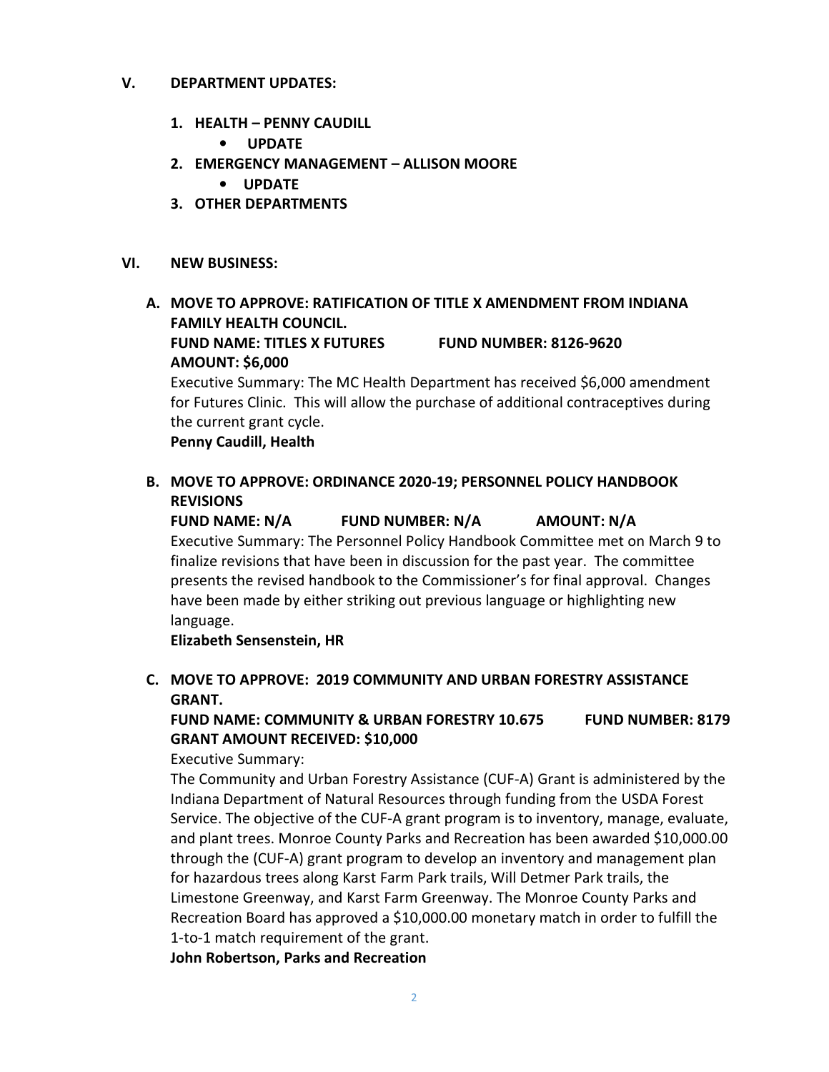#### **V. DEPARTMENT UPDATES:**

- **1. HEALTH PENNY CAUDILL** 
	- • **UPDATE**
- **2. EMERGENCY MANAGEMENT ALLISON MOORE** 
	- **UPDATE**
- **3. OTHER DEPARTMENTS**

#### **VI. NEW BUSINESS:**

## **A. MOVE TO APPROVE: RATIFICATION OF TITLE X AMENDMENT FROM INDIANA FAMILY HEALTH COUNCIL. FUND NAME: TITLES X FUTURES FUND NUMBER: 8126-9620 AMOUNT: \$6,000**

Executive Summary: The MC Health Department has received \$6,000 amendment for Futures Clinic. This will allow the purchase of additional contraceptives during the current grant cycle.

**Penny Caudill, Health** 

## **B. MOVE TO APPROVE: ORDINANCE 2020-19; PERSONNEL POLICY HANDBOOK REVISIONS**

**FUND NAME: N/A FUND NUMBER: N/A AMOUNT: N/A**  Executive Summary: The Personnel Policy Handbook Committee met on March 9 to finalize revisions that have been in discussion for the past year. The committee presents the revised handbook to the Commissioner's for final approval. Changes have been made by either striking out previous language or highlighting new language.

**Elizabeth Sensenstein, HR** 

## **C. MOVE TO APPROVE: 2019 COMMUNITY AND URBAN FORESTRY ASSISTANCE GRANT.**

## **FUND NAME: COMMUNITY & URBAN FORESTRY 10.675 FUND NUMBER: 8179 GRANT AMOUNT RECEIVED: \$10,000**

Executive Summary:

The Community and Urban Forestry Assistance (CUF-A) Grant is administered by the Indiana Department of Natural Resources through funding from the USDA Forest Service. The objective of the CUF-A grant program is to inventory, manage, evaluate, and plant trees. Monroe County Parks and Recreation has been awarded \$10,000.00 through the (CUF-A) grant program to develop an inventory and management plan for hazardous trees along Karst Farm Park trails, Will Detmer Park trails, the Limestone Greenway, and Karst Farm Greenway. The Monroe County Parks and Recreation Board has approved a \$10,000.00 monetary match in order to fulfill the 1-to-1 match requirement of the grant.

**John Robertson, Parks and Recreation**